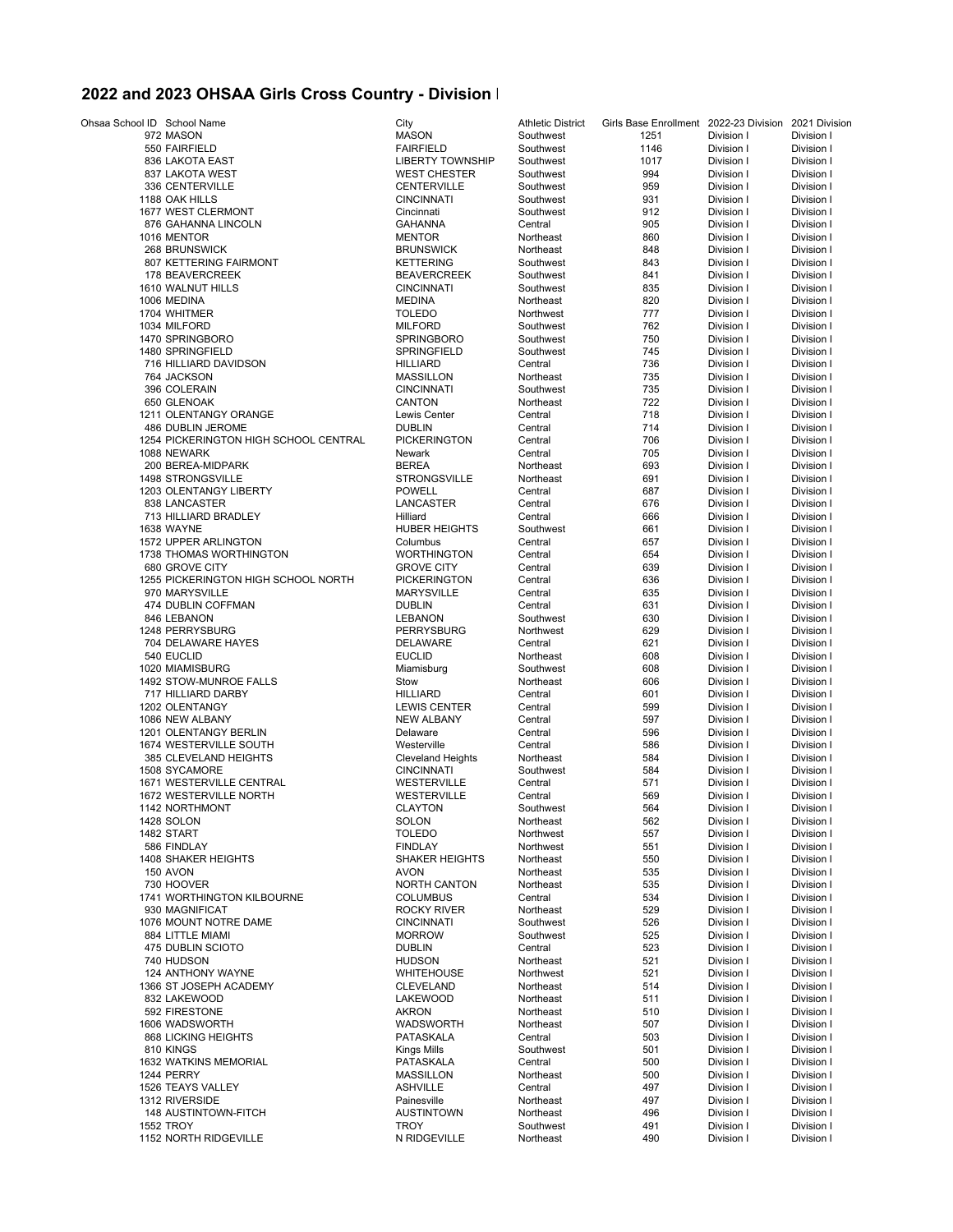## **2022 and 2023 OHSAA Girls Cross Country - Division I**

| Ohsaa School ID School Name                     | City                           | Athletic District  | Girls Base Enrollment 2022-23 Division 2021 Division |                          |                          |
|-------------------------------------------------|--------------------------------|--------------------|------------------------------------------------------|--------------------------|--------------------------|
| 972 MASON                                       | <b>MASON</b>                   | Southwest          | 1251                                                 | Division I               | Division I               |
| 550 FAIRFIELD                                   | <b>FAIRFIELD</b>               | Southwest          | 1146                                                 | Division I               | Division I               |
| 836 LAKOTA EAST                                 | <b>LIBERTY TOWNSHIP</b>        | Southwest          | 1017                                                 | Division I               | Division I               |
| 837 LAKOTA WEST                                 | <b>WEST CHESTER</b>            | Southwest          | 994                                                  | Division I               | Division I               |
| 336 CENTERVILLE                                 | CENTERVILLE                    | Southwest          | 959                                                  | Division I               | Division I               |
| 1188 OAK HILLS                                  | <b>CINCINNATI</b>              | Southwest          | 931                                                  | Division I               | Division I               |
| 1677 WEST CLERMONT                              | Cincinnati                     | Southwest          | 912                                                  | Division I               | Division I               |
| 876 GAHANNA LINCOLN                             | <b>GAHANNA</b>                 | Central            | 905                                                  | Division I               | Division I               |
| 1016 MENTOR                                     | <b>MENTOR</b>                  | Northeast          | 860                                                  | Division I               | Division I               |
| 268 BRUNSWICK                                   | <b>BRUNSWICK</b>               | Northeast          | 848                                                  | Division I               | Division I               |
| 807 KETTERING FAIRMONT                          | <b>KETTERING</b>               | Southwest          | 843                                                  | Division I               | Division I               |
| 178 BEAVERCREEK                                 | <b>BEAVERCREEK</b>             | Southwest          | 841                                                  | Division I               | Division I               |
| 1610 WALNUT HILLS                               | <b>CINCINNATI</b>              | Southwest          | 835                                                  | Division I               | Division I               |
| 1006 MEDINA                                     | <b>MEDINA</b>                  | Northeast          | 820                                                  | Division I               | Division I               |
| 1704 WHITMER                                    | <b>TOLEDO</b>                  | Northwest          | 777                                                  | Division I               | Division I               |
| 1034 MILFORD                                    | <b>MILFORD</b>                 | Southwest          | 762                                                  | Division I               | Division I               |
| 1470 SPRINGBORO                                 | <b>SPRINGBORO</b>              | Southwest          | 750                                                  | Division I               | Division I               |
| 1480 SPRINGFIELD                                | SPRINGFIELD                    | Southwest          | 745                                                  | Division I               | Division I               |
| 716 HILLIARD DAVIDSON                           | <b>HILLIARD</b>                | Central            | 736                                                  | Division I               | Division I               |
| 764 JACKSON                                     | <b>MASSILLON</b>               | Northeast          | 735                                                  | Division I               | Division I               |
| 396 COLERAIN                                    | <b>CINCINNATI</b>              | Southwest          | 735                                                  | Division I               | Division I               |
| 650 GLENOAK                                     | CANTON                         | Northeast          | 722                                                  | Division I               | Division I               |
| 1211 OLENTANGY ORANGE                           | Lewis Center                   | Central            | 718                                                  | Division I               | Division I               |
| 486 DUBLIN JEROME                               | <b>DUBLIN</b>                  | Central            | 714                                                  | Division I               | Division I               |
| 1254 PICKERINGTON HIGH SCHOOL CENTRAL           | <b>PICKERINGTON</b>            | Central            | 706                                                  | Division I               | Division I               |
| 1088 NEWARK                                     | Newark                         | Central            | 705                                                  | Division I               | Division I               |
| 200 BEREA-MIDPARK                               | <b>BEREA</b>                   | Northeast          | 693                                                  | Division I               | Division I               |
| <b>1498 STRONGSVILLE</b>                        | <b>STRONGSVILLE</b>            | Northeast          | 691                                                  | Division I               | Division I               |
| 1203 OLENTANGY LIBERTY                          | <b>POWELL</b>                  | Central            | 687                                                  | Division I               | Division I               |
| 838 LANCASTER                                   | LANCASTER                      | Central            | 676                                                  | Division I               | Division I               |
| 713 HILLIARD BRADLEY                            | Hilliard                       | Central            | 666                                                  | Division I               | Division I               |
| 1638 WAYNE                                      | <b>HUBER HEIGHTS</b>           | Southwest          | 661                                                  | Division I               | Division I               |
| 1572 UPPER ARLINGTON<br>1738 THOMAS WORTHINGTON | Columbus<br><b>WORTHINGTON</b> | Central            | 657<br>654                                           | Division I               | Division I               |
| 680 GROVE CITY                                  | <b>GROVE CITY</b>              | Central<br>Central | 639                                                  | Division I<br>Division I | Division I<br>Division I |
| 1255 PICKERINGTON HIGH SCHOOL NORTH             | <b>PICKERINGTON</b>            | Central            | 636                                                  | Division I               | Division I               |
| 970 MARYSVILLE                                  | <b>MARYSVILLE</b>              | Central            | 635                                                  | Division I               | Division I               |
| 474 DUBLIN COFFMAN                              | <b>DUBLIN</b>                  | Central            | 631                                                  | Division I               | Division I               |
| 846 LEBANON                                     | <b>LEBANON</b>                 | Southwest          | 630                                                  | Division I               | Division I               |
| 1248 PERRYSBURG                                 | <b>PERRYSBURG</b>              | Northwest          | 629                                                  | Division I               | Division I               |
| 704 DELAWARE HAYES                              | <b>DELAWARE</b>                | Central            | 621                                                  | Division I               | Division I               |
| 540 EUCLID                                      | <b>EUCLID</b>                  | Northeast          | 608                                                  | Division I               | Division I               |
| 1020 MIAMISBURG                                 | Miamisburg                     | Southwest          | 608                                                  | Division I               | Division I               |
| 1492 STOW-MUNROE FALLS                          | Stow                           | Northeast          | 606                                                  | Division I               | Division I               |
| 717 HILLIARD DARBY                              | <b>HILLIARD</b>                | Central            | 601                                                  | Division I               | Division I               |
| 1202 OLENTANGY                                  | <b>LEWIS CENTER</b>            | Central            | 599                                                  | Division I               | Division I               |
| 1086 NEW ALBANY                                 | <b>NEW ALBANY</b>              | Central            | 597                                                  | Division I               | Division I               |
| 1201 OLENTANGY BERLIN                           | Delaware                       | Central            | 596                                                  | Division I               | Division I               |
| 1674 WESTERVILLE SOUTH                          | Westerville                    | Central            | 586                                                  | Division I               | Division I               |
| 385 CLEVELAND HEIGHTS                           | <b>Cleveland Heights</b>       | Northeast          | 584                                                  | Division I               | Division I               |
| 1508 SYCAMORE                                   | <b>CINCINNATI</b>              | Southwest          | 584                                                  | Division I               | Division I               |
| 1671 WESTERVILLE CENTRAL                        | WESTERVILLE                    | Central            | 571                                                  | Division I               | Division I               |
| 1672 WESTERVILLE NORTH                          | WESTERVILLE                    | Central            | 569                                                  | Division I               | Division I               |
| 1142 NORTHMONT                                  | <b>CLAYTON</b>                 | Southwest          | 564                                                  | Division I               | Division I               |
| 1428 SOLON                                      | SOLON                          | Northeast          | 562                                                  | Division I               | Division I               |
| 1482 START                                      | <b>TOLEDO</b>                  | Northwest          | 557                                                  | Division I               | Division I               |
| 586 FINDLAY                                     | <b>FINDLAY</b>                 | Northwest          | 551                                                  | Division I               | Division I               |
| <b>1408 SHAKER HEIGHTS</b>                      | <b>SHAKER HEIGHTS</b>          | Northeast          | 550                                                  | Division I               | Division I               |
| 150 AVON                                        | <b>AVON</b>                    | Northeast          | 535                                                  | Division I               | Division I               |
| 730 HOOVER                                      | <b>NORTH CANTON</b>            | Northeast          | 535                                                  | Division I               | Division I               |
| 1741 WORTHINGTON KILBOURNE                      | <b>COLUMBUS</b>                | Central            | 534                                                  | Division I               | Division I               |
| 930 MAGNIFICAT                                  | <b>ROCKY RIVER</b>             | Northeast          | 529                                                  | Division I               | Division I               |
| 1076 MOUNT NOTRE DAME                           | <b>CINCINNATI</b>              | Southwest          | 526                                                  | Division I               | Division I               |
| 884 LITTLE MIAMI                                | <b>MORROW</b>                  | Southwest          | 525                                                  | Division I               | Division I               |
| 475 DUBLIN SCIOTO                               | <b>DUBLIN</b>                  | Central            | 523                                                  | Division I               | Division I               |
| 740 HUDSON                                      | <b>HUDSON</b>                  | Northeast          | 521                                                  | Division I               | Division I               |
| 124 ANTHONY WAYNE                               | <b>WHITEHOUSE</b>              | Northwest          | 521                                                  | Division I               | Division I               |
| 1366 ST JOSEPH ACADEMY                          | <b>CLEVELAND</b>               | Northeast          | 514                                                  | Division I               | Division I               |
| 832 LAKEWOOD                                    | LAKEWOOD                       | Northeast          | 511                                                  | Division I               | Division I               |
| 592 FIRESTONE                                   | <b>AKRON</b>                   | Northeast          | 510                                                  | Division I               | Division I               |
| 1606 WADSWORTH                                  | <b>WADSWORTH</b>               | Northeast          | 507                                                  | Division I               | Division I               |
| 868 LICKING HEIGHTS                             | PATASKALA                      | Central            | 503                                                  | Division I               | Division I               |
| 810 KINGS                                       | Kings Mills                    | Southwest          | 501                                                  | Division I               | Division I               |
| 1632 WATKINS MEMORIAL                           | PATASKALA                      | Central            | 500                                                  | Division I               | Division I               |
| 1244 PERRY                                      | <b>MASSILLON</b>               | Northeast          | 500                                                  | Division I               | Division I               |
| 1526 TEAYS VALLEY                               | <b>ASHVILLE</b>                | Central            | 497                                                  | Division I               | Division I               |
| 1312 RIVERSIDE                                  | Painesville                    | Northeast          | 497                                                  | Division I               | Division I               |
| 148 AUSTINTOWN-FITCH                            | <b>AUSTINTOWN</b>              | Northeast          | 496                                                  | Division I               | Division I               |
| <b>1552 TROY</b>                                | TROY                           | Southwest          | 491                                                  | Division I               | Division I               |
| 1152 NORTH RIDGEVILLE                           | N RIDGEVILLE                   | Northeast          | 490                                                  | Division I               | Division I               |